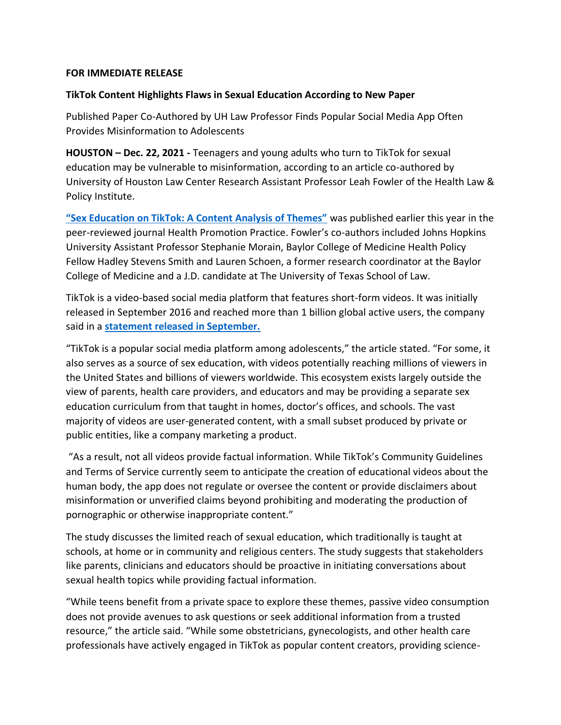## **FOR IMMEDIATE RELEASE**

## **TikTok Content Highlights Flaws in Sexual Education According to New Paper**

Published Paper Co-Authored by UH Law Professor Finds Popular Social Media App Often Provides Misinformation to Adolescents

**HOUSTON – Dec. 22, 2021 -** Teenagers and young adults who turn to TikTok for sexual education may be vulnerable to misinformation, according to an article co-authored by University of Houston Law Center Research Assistant Professor Leah Fowler of the Health Law & Policy Institute.

**["Sex Education on TikTok: A Content Analysis of Themes"](https://mcusercontent.com/c20b80e633c1998112f620cfb/files/0017dc64-cb7d-8c68-8eb8-690168d497a1/Fowlerarticle.pdf)** was published earlier this year in the peer-reviewed journal Health Promotion Practice. Fowler's co-authors included Johns Hopkins University Assistant Professor Stephanie Morain, Baylor College of Medicine Health Policy Fellow Hadley Stevens Smith and Lauren Schoen, a former research coordinator at the Baylor College of Medicine and a J.D. candidate at The University of Texas School of Law.

TikTok is a video-based social media platform that features short-form videos. It was initially released in September 2016 and reached more than 1 billion global active users, the company said in a **[statement released in September.](https://newsroom.tiktok.com/en-us/1-billion-people-on-tiktok)**

"TikTok is a popular social media platform among adolescents," the article stated. "For some, it also serves as a source of sex education, with videos potentially reaching millions of viewers in the United States and billions of viewers worldwide. This ecosystem exists largely outside the view of parents, health care providers, and educators and may be providing a separate sex education curriculum from that taught in homes, doctor's offices, and schools. The vast majority of videos are user-generated content, with a small subset produced by private or public entities, like a company marketing a product.

"As a result, not all videos provide factual information. While TikTok's Community Guidelines and Terms of Service currently seem to anticipate the creation of educational videos about the human body, the app does not regulate or oversee the content or provide disclaimers about misinformation or unverified claims beyond prohibiting and moderating the production of pornographic or otherwise inappropriate content."

The study discusses the limited reach of sexual education, which traditionally is taught at schools, at home or in community and religious centers. The study suggests that stakeholders like parents, clinicians and educators should be proactive in initiating conversations about sexual health topics while providing factual information.

"While teens benefit from a private space to explore these themes, passive video consumption does not provide avenues to ask questions or seek additional information from a trusted resource," the article said. "While some obstetricians, gynecologists, and other health care professionals have actively engaged in TikTok as popular content creators, providing science